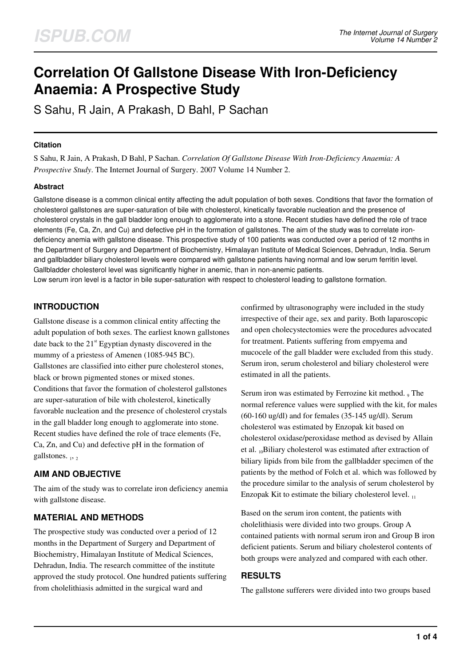# **Correlation Of Gallstone Disease With Iron-Deficiency Anaemia: A Prospective Study**

S Sahu, R Jain, A Prakash, D Bahl, P Sachan

#### **Citation**

S Sahu, R Jain, A Prakash, D Bahl, P Sachan. *Correlation Of Gallstone Disease With Iron-Deficiency Anaemia: A Prospective Study*. The Internet Journal of Surgery. 2007 Volume 14 Number 2.

## **Abstract**

Gallstone disease is a common clinical entity affecting the adult population of both sexes. Conditions that favor the formation of cholesterol gallstones are super-saturation of bile with cholesterol, kinetically favorable nucleation and the presence of cholesterol crystals in the gall bladder long enough to agglomerate into a stone. Recent studies have defined the role of trace elements (Fe, Ca, Zn, and Cu) and defective pH in the formation of gallstones. The aim of the study was to correlate irondeficiency anemia with gallstone disease. This prospective study of 100 patients was conducted over a period of 12 months in the Department of Surgery and Department of Biochemistry, Himalayan Institute of Medical Sciences, Dehradun, India. Serum and gallbladder biliary cholesterol levels were compared with gallstone patients having normal and low serum ferritin level. Gallbladder cholesterol level was significantly higher in anemic, than in non-anemic patients.

Low serum iron level is a factor in bile super-saturation with respect to cholesterol leading to gallstone formation.

## **INTRODUCTION**

Gallstone disease is a common clinical entity affecting the adult population of both sexes. The earliest known gallstones date back to the  $21<sup>st</sup>$  Egyptian dynasty discovered in the mummy of a priestess of Amenen (1085-945 BC). Gallstones are classified into either pure cholesterol stones, black or brown pigmented stones or mixed stones. Conditions that favor the formation of cholesterol gallstones are super-saturation of bile with cholesterol, kinetically favorable nucleation and the presence of cholesterol crystals in the gall bladder long enough to agglomerate into stone. Recent studies have defined the role of trace elements (Fe, Ca, Zn, and Cu) and defective pH in the formation of gallstones. 1, 2

## **AIM AND OBJECTIVE**

The aim of the study was to correlate iron deficiency anemia with gallstone disease.

## **MATERIAL AND METHODS**

The prospective study was conducted over a period of 12 months in the Department of Surgery and Department of Biochemistry, Himalayan Institute of Medical Sciences, Dehradun, India. The research committee of the institute approved the study protocol. One hundred patients suffering from cholelithiasis admitted in the surgical ward and

confirmed by ultrasonography were included in the study irrespective of their age, sex and parity. Both laparoscopic and open cholecystectomies were the procedures advocated for treatment. Patients suffering from empyema and mucocele of the gall bladder were excluded from this study. Serum iron, serum cholesterol and biliary cholesterol were estimated in all the patients.

Serum iron was estimated by Ferrozine kit method. <sub>9</sub> The normal reference values were supplied with the kit, for males (60-160 ug/dl) and for females (35-145 ug/dl). Serum cholesterol was estimated by Enzopak kit based on cholesterol oxidase/peroxidase method as devised by Allain et al. 10Biliary cholesterol was estimated after extraction of biliary lipids from bile from the gallbladder specimen of the patients by the method of Folch et al. which was followed by the procedure similar to the analysis of serum cholesterol by Enzopak Kit to estimate the biliary cholesterol level. <sup>11</sup>

Based on the serum iron content, the patients with cholelithiasis were divided into two groups. Group A contained patients with normal serum iron and Group B iron deficient patients. Serum and biliary cholesterol contents of both groups were analyzed and compared with each other.

## **RESULTS**

The gallstone sufferers were divided into two groups based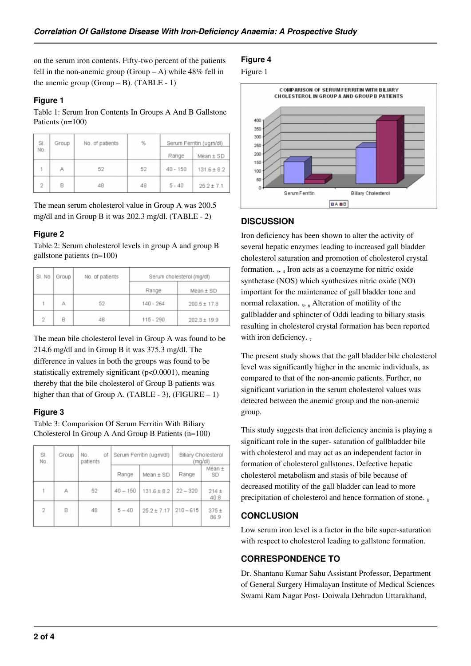on the serum iron contents. Fifty-two percent of the patients fell in the non-anemic group (Group  $- A$ ) while 48% fell in the anemic group (Group  $-B$ ). (TABLE - 1)

#### **Figure 1**

Table 1: Serum Iron Contents In Groups A And B Gallstone Patients (n=100)

| SI.            | Group | No. of patients | %  |            | Serum Ferritin (ugm/dl) |
|----------------|-------|-----------------|----|------------|-------------------------|
| No.            |       |                 |    | Range      | $Mean \pm SD$           |
|                | А     | 52              | 52 | $40 - 150$ | $131.6 \pm 8.2$         |
| $\overline{2}$ | B     | 48              | 48 | $5 - 40$   | $25.2 \pm 7.1$          |

The mean serum cholesterol value in Group A was 200.5 mg/dl and in Group B it was 202.3 mg/dl. (TABLE - 2)

### **Figure 2**

Table 2: Serum cholesterol levels in group A and group B gallstone patients (n=100)

| SI. No         | Group | No. of patients | Serum cholesterol (mg/dl) |                  |  |
|----------------|-------|-----------------|---------------------------|------------------|--|
|                |       |                 | Range                     | Mean ± SD        |  |
|                | А     | 52              | 140 - 264                 | $200.5 \pm 17.8$ |  |
| $\overline{2}$ | R     | 48              | $115 - 290$               | $202.3 \pm 19.9$ |  |

The mean bile cholesterol level in Group A was found to be 214.6 mg/dl and in Group B it was 375.3 mg/dl. The difference in values in both the groups was found to be statistically extremely significant (p<0.0001), meaning thereby that the bile cholesterol of Group B patients was higher than that of Group A. (TABLE - 3), (FIGURE  $- 1$ )

## **Figure 3**

Table 3: Comparision Of Serum Ferritin With Biliary Cholesterol In Group A And Group B Patients (n=100)

| SI.<br>No.     | Group | No.<br>οf<br>patients | Serum Ferritin (ugm/dl) |                 | Biliary Cholesterol<br>(mg/dl) |                 |
|----------------|-------|-----------------------|-------------------------|-----------------|--------------------------------|-----------------|
|                |       |                       | Range                   | $Mean \pm SD$   | Range                          | Mean ±<br>SD    |
| 1              | А     | 52                    | $40 - 150$              | $131.6 \pm 8.2$ | $22 - 320$                     | $214 +$<br>40.8 |
| $\overline{2}$ | B     | 48                    | $5 - 40$                | $25.2 \pm 7.17$ | $210 - 615$                    | $375 +$<br>86.9 |

## **Figure 4**





## **DISCUSSION**

Iron deficiency has been shown to alter the activity of several hepatic enzymes leading to increased gall bladder cholesterol saturation and promotion of cholesterol crystal formation. 3, 4 Iron acts as a coenzyme for nitric oxide synthetase (NOS) which synthesizes nitric oxide (NO) important for the maintenance of gall bladder tone and normal relaxation.  $_5$ ,  $_6$  Alteration of motility of the gallbladder and sphincter of Oddi leading to biliary stasis resulting in cholesterol crystal formation has been reported with iron deficiency.  $<sub>7</sub>$ </sub>

The present study shows that the gall bladder bile cholesterol level was significantly higher in the anemic individuals, as compared to that of the non-anemic patients. Further, no significant variation in the serum cholesterol values was detected between the anemic group and the non-anemic group.

This study suggests that iron deficiency anemia is playing a significant role in the super- saturation of gallbladder bile with cholesterol and may act as an independent factor in formation of cholesterol gallstones. Defective hepatic cholesterol metabolism and stasis of bile because of decreased motility of the gall bladder can lead to more precipitation of cholesterol and hence formation of stone.

# **CONCLUSION**

Low serum iron level is a factor in the bile super-saturation with respect to cholesterol leading to gallstone formation.

# **CORRESPONDENCE TO**

Dr. Shantanu Kumar Sahu Assistant Professor, Department of General Surgery Himalayan Institute of Medical Sciences Swami Ram Nagar Post- Doiwala Dehradun Uttarakhand,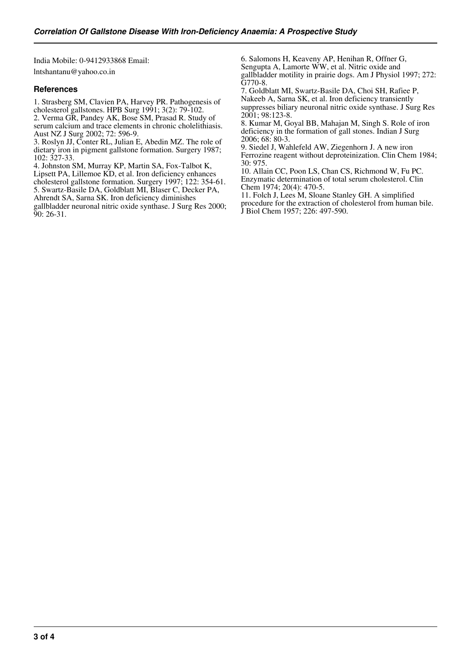India Mobile: 0-9412933868 Email: lntshantanu@yahoo.co.in

### **References**

1. Strasberg SM, Clavien PA, Harvey PR. Pathogenesis of cholesterol gallstones. HPB Surg 1991; 3(2): 79-102. 2. Verma GR, Pandey AK, Bose SM, Prasad R. Study of serum calcium and trace elements in chronic cholelithiasis. Aust NZ J Surg 2002; 72: 596-9.

3. Roslyn JJ, Conter RL, Julian E, Abedin MZ. The role of dietary iron in pigment gallstone formation. Surgery 1987; 102: 327-33.

4. Johnston SM, Murray KP, Martin SA, Fox-Talbot K, Lipsett PA, Lillemoe KD, et al. Iron deficiency enhances cholesterol gallstone formation. Surgery 1997; 122: 354-61. 5. Swartz-Basile DA, Goldblatt MI, Blaser C, Decker PA, Ahrendt SA, Sarna SK. Iron deficiency diminishes

gallbladder neuronal nitric oxide synthase. J Surg Res 2000; 90: 26-31.

6. Salomons H, Keaveny AP, Henihan R, Offner G, Sengupta A, Lamorte WW, et al. Nitric oxide and gallbladder motility in prairie dogs. Am J Physiol 1997; 272: G770-8.

7. Goldblatt MI, Swartz-Basile DA, Choi SH, Rafiee P, Nakeeb A, Sarna SK, et al. Iron deficiency transiently suppresses biliary neuronal nitric oxide synthase. J Surg Res 2001; 98:123-8.

8. Kumar M, Goyal BB, Mahajan M, Singh S. Role of iron deficiency in the formation of gall stones. Indian J Surg 2006; 68: 80-3.

9. Siedel J, Wahlefeld AW, Ziegenhorn J. A new iron Ferrozine reagent without deproteinization. Clin Chem 1984; 30: 975.

10. Allain CC, Poon LS, Chan CS, Richmond W, Fu PC. Enzymatic determination of total serum cholesterol. Clin Chem 1974; 20(4): 470-5.

11. Folch J, Lees M, Sloane Stanley GH. A simplified procedure for the extraction of cholesterol from human bile. J Biol Chem 1957; 226: 497-590.